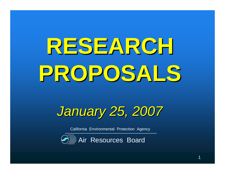# **RESEARCHPROPOSALS**

January 25, 2007

California Environmental Protection Agency

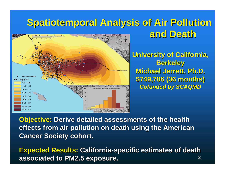### **Spatiotemporal Analysis of Air Pollution and Death**



**University of California, Berkeley Michael Jerrett, Ph.D.\$749,706 (36 months)Cofunded by SCAQMD**

**Objective: Derive detailed assessments of the health effects from air pollution on death using the American Cancer Society cohort.**

**Expected Results: California-specific estimates of death associated to PM2.5 exposure.**2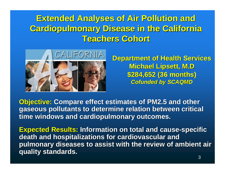### **Extended Analyses of Air Pollution and Cardiopulmonary Disease in the California Teachers Cohort**



**Department of Health ServicesMichael Lipsett, M.D \$284,652 (36 months)Cofunded by SCAQMD**

**Objective: Compare effect estimates of PM2.5 and other gaseous pollutants to determine relation between critical time windows and cardiopulmonary outcomes.**

**Expected Results: Information on total and cause-specific death and hospitalizations for cardiovascular and pulmonary diseases to assist with the review of ambient air quality standards.**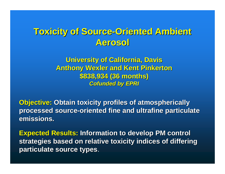#### **Toxicity of Source-Oriented Ambient Aerosol**

**University of California, Davis Anthony Wexler and Kent Pinkerton\$838,934 (36 months) Cofunded by EPRI**

**Objective: Obtain toxicity profiles of atmospherically processed source-oriented fine and ultrafine particulate emissions.**

**Expected Results: Information to develop PM control strategies based on relative toxicity indices of differing particulate source types**.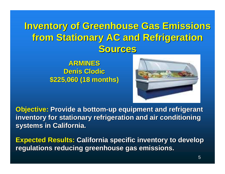## **Inventory of Greenhouse Gas Emissions from Stationary AC and Refrigeration Sources**

**ARMINES Denis Clodic\$225,060 (18 months)**



**Objective: Provide a bottom-up equipment and refrigerant inventory for stationary refrigeration and air conditioning systems in California.**

**Expected Results: California specific inventory to develop regulations reducing greenhouse gas emissions.**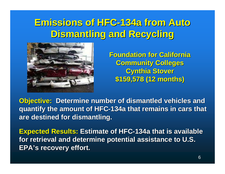## **Emissions of HFC-134a from Auto Dismantling and Recycling**



**Foundation for California Community CollegesCynthia Stover\$159,578 (12 months)**

**Objective: Determine number of dismantled vehicles and quantify the amount of HFC-134a that remains in cars that are destined for dismantling.**

**Expected Results: Estimate of HFC-134a that is available for retrieval and determine potential assistance to U.S. EPA's recovery effort.**